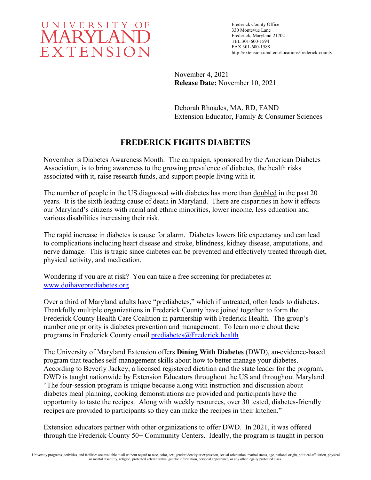

Frederick County Office 330 Montevue Lane Frederick, Maryland 21702 TEL 301-600-1594 FAX 301-600-1588 http://extension.umd.edu/locations/frederick-county

November 4, 2021 **Release Date:** November 10, 2021

Deborah Rhoades, MA, RD, FAND Extension Educator, Family & Consumer Sciences

## **FREDERICK FIGHTS DIABETES**

November is Diabetes Awareness Month. The campaign, sponsored by the American Diabetes Association, is to bring awareness to the growing prevalence of diabetes, the health risks associated with it, raise research funds, and support people living with it.

The number of people in the US diagnosed with diabetes has more than doubled in the past 20 years. It is the sixth leading cause of death in Maryland. There are disparities in how it effects our Maryland's citizens with racial and ethnic minorities, lower income, less education and various disabilities increasing their risk.

The rapid increase in diabetes is cause for alarm. Diabetes lowers life expectancy and can lead to complications including heart disease and stroke, blindness, kidney disease, amputations, and nerve damage. This is tragic since diabetes can be prevented and effectively treated through diet, physical activity, and medication.

Wondering if you are at risk? You can take a free screening for prediabetes at [www.doihaveprediabetes.org](http://www.doihaveprediabetes.org/)

Over a third of Maryland adults have "prediabetes," which if untreated, often leads to diabetes. Thankfully multiple organizations in Frederick County have joined together to form the Frederick County Health Care Coalition in partnership with Frederick Health. The group's number one priority is diabetes prevention and management. To learn more about these programs in Frederick County email [prediabetes@Frederick.health](mailto:prediabetes@Frederick.health)

The University of Maryland Extension offers **Dining With Diabetes** (DWD), an evidence-based program that teaches self-management skills about how to better manage your diabetes. According to Beverly Jackey, a licensed registered dietitian and the state leader for the program, DWD is taught nationwide by Extension Educators throughout the US and throughout Maryland. "The four-session program is unique because along with instruction and discussion about diabetes meal planning, cooking demonstrations are provided and participants have the opportunity to taste the recipes. Along with weekly resources, over 30 tested, diabetes-friendly recipes are provided to participants so they can make the recipes in their kitchen."

Extension educators partner with other organizations to offer DWD. In 2021, it was offered through the Frederick County 50+ Community Centers. Ideally, the program is taught in person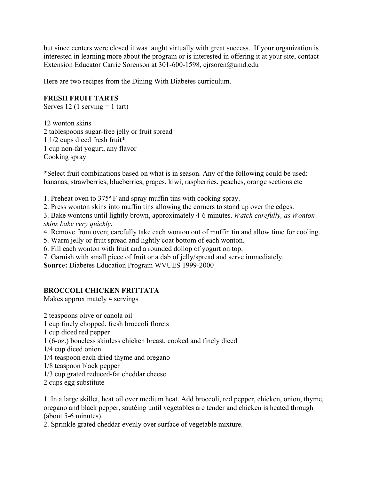but since centers were closed it was taught virtually with great success. If your organization is interested in learning more about the program or is interested in offering it at your site, contact Extension Educator Carrie Sorenson at 301-600-1598, cjrsoren@umd.edu

Here are two recipes from the Dining With Diabetes curriculum.

## **FRESH FRUIT TARTS**

Serves 12 (1 serving  $= 1$  tart)

12 wonton skins 2 tablespoons sugar-free jelly or fruit spread 1 1/2 cups diced fresh fruit\* 1 cup non-fat yogurt, any flavor Cooking spray

**\***Select fruit combinations based on what is in season. Any of the following could be used: bananas, strawberries, blueberries, grapes, kiwi, raspberries, peaches, orange sections etc

1. Preheat oven to 375º F and spray muffin tins with cooking spray.

2. Press wonton skins into muffin tins allowing the corners to stand up over the edges.

3. Bake wontons until lightly brown, approximately 4-6 minutes. *Watch carefully, as Wonton skins bake very quickly.* 

- 4. Remove from oven; carefully take each wonton out of muffin tin and allow time for cooling.
- 5. Warm jelly or fruit spread and lightly coat bottom of each wonton.
- 6. Fill each wonton with fruit and a rounded dollop of yogurt on top.
- 7. Garnish with small piece of fruit or a dab of jelly/spread and serve immediately.

**Source:** Diabetes Education Program WVUES 1999-2000

## **BROCCOLI CHICKEN FRITTATA**

Makes approximately 4 servings

2 teaspoons olive or canola oil

- 1 cup finely chopped, fresh broccoli florets
- 1 cup diced red pepper
- 1 (6-oz.) boneless skinless chicken breast, cooked and finely diced
- 1/4 cup diced onion
- 1/4 teaspoon each dried thyme and oregano
- 1/8 teaspoon black pepper
- 1/3 cup grated reduced-fat cheddar cheese
- 2 cups egg substitute

1. In a large skillet, heat oil over medium heat. Add broccoli, red pepper, chicken, onion, thyme, oregano and black pepper, sautéing until vegetables are tender and chicken is heated through (about 5-6 minutes).

2. Sprinkle grated cheddar evenly over surface of vegetable mixture.